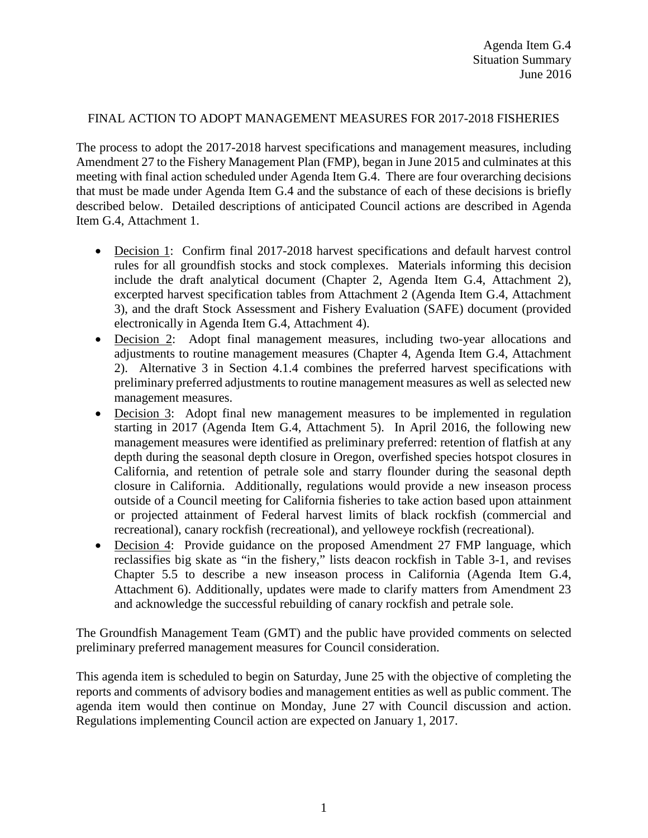## FINAL ACTION TO ADOPT MANAGEMENT MEASURES FOR 2017-2018 FISHERIES

The process to adopt the 2017-2018 harvest specifications and management measures, including Amendment 27 to the Fishery Management Plan (FMP), began in June 2015 and culminates at this meeting with final action scheduled under Agenda Item G.4. There are four overarching decisions that must be made under Agenda Item G.4 and the substance of each of these decisions is briefly described below. Detailed descriptions of anticipated Council actions are described in Agenda Item G.4, Attachment 1.

- Decision 1: Confirm final 2017-2018 harvest specifications and default harvest control rules for all groundfish stocks and stock complexes. Materials informing this decision include the draft analytical document (Chapter 2, Agenda Item G.4, Attachment 2), excerpted harvest specification tables from Attachment 2 (Agenda Item G.4, Attachment 3), and the draft Stock Assessment and Fishery Evaluation (SAFE) document (provided electronically in Agenda Item G.4, Attachment 4).
- Decision 2: Adopt final management measures, including two-year allocations and adjustments to routine management measures (Chapter 4, Agenda Item G.4, Attachment 2). Alternative 3 in Section 4.1.4 combines the preferred harvest specifications with preliminary preferred adjustments to routine management measures as well as selected new management measures.
- Decision 3: Adopt final new management measures to be implemented in regulation starting in 2017 (Agenda Item G.4, Attachment 5). In April 2016, the following new management measures were identified as preliminary preferred: retention of flatfish at any depth during the seasonal depth closure in Oregon, overfished species hotspot closures in California, and retention of petrale sole and starry flounder during the seasonal depth closure in California. Additionally, regulations would provide a new inseason process outside of a Council meeting for California fisheries to take action based upon attainment or projected attainment of Federal harvest limits of black rockfish (commercial and recreational), canary rockfish (recreational), and yelloweye rockfish (recreational).
- Decision 4: Provide guidance on the proposed Amendment 27 FMP language, which reclassifies big skate as "in the fishery," lists deacon rockfish in Table 3-1, and revises Chapter 5.5 to describe a new inseason process in California (Agenda Item G.4, Attachment 6). Additionally, updates were made to clarify matters from Amendment 23 and acknowledge the successful rebuilding of canary rockfish and petrale sole.

The Groundfish Management Team (GMT) and the public have provided comments on selected preliminary preferred management measures for Council consideration.

This agenda item is scheduled to begin on Saturday, June 25 with the objective of completing the reports and comments of advisory bodies and management entities as well as public comment. The agenda item would then continue on Monday, June 27 with Council discussion and action. Regulations implementing Council action are expected on January 1, 2017.